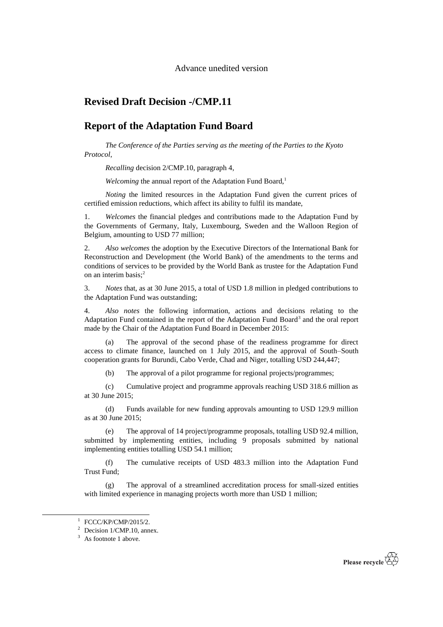Advance unedited version

## **Revised Draft Decision -/CMP.11**

## **Report of the Adaptation Fund Board**

*The Conference of the Parties serving as the meeting of the Parties to the Kyoto Protocol*,

*Recalling* decision 2/CMP.10, paragraph 4,

*Welcoming* the annual report of the Adaptation Fund Board,<sup>1</sup>

*Noting* the limited resources in the Adaptation Fund given the current prices of certified emission reductions, which affect its ability to fulfil its mandate,

1. *Welcomes* the financial pledges and contributions made to the Adaptation Fund by the Governments of Germany, Italy, Luxembourg, Sweden and the Walloon Region of Belgium, amounting to USD 77 million;

2. *Also welcomes* the adoption by the Executive Directors of the International Bank for Reconstruction and Development (the World Bank) of the amendments to the terms and conditions of services to be provided by the World Bank as trustee for the Adaptation Fund on an interim basis;<sup>2</sup>

3. *Notes* that, as at 30 June 2015, a total of USD 1.8 million in pledged contributions to the Adaptation Fund was outstanding;

4. *Also notes* the following information, actions and decisions relating to the Adaptation Fund contained in the report of the Adaptation Fund Board<sup>3</sup> and the oral report made by the Chair of the Adaptation Fund Board in December 2015:

(a) The approval of the second phase of the readiness programme for direct access to climate finance, launched on 1 July 2015, and the approval of South–South cooperation grants for Burundi, Cabo Verde, Chad and Niger, totalling USD 244,447;

(b) The approval of a pilot programme for regional projects/programmes;

(c) Cumulative project and programme approvals reaching USD 318.6 million as at 30 June 2015;

(d) Funds available for new funding approvals amounting to USD 129.9 million as at 30 June 2015;

(e) The approval of 14 project/programme proposals, totalling USD 92.4 million, submitted by implementing entities, including 9 proposals submitted by national implementing entities totalling USD 54.1 million;

(f) The cumulative receipts of USD 483.3 million into the Adaptation Fund Trust Fund;

(g) The approval of a streamlined accreditation process for small-sized entities with limited experience in managing projects worth more than USD 1 million;

-



<sup>1</sup> FCCC/KP/CMP/2015/2.

<sup>&</sup>lt;sup>2</sup> Decision  $1/CMP.10$ , annex.

<sup>&</sup>lt;sup>3</sup> As footnote 1 above.